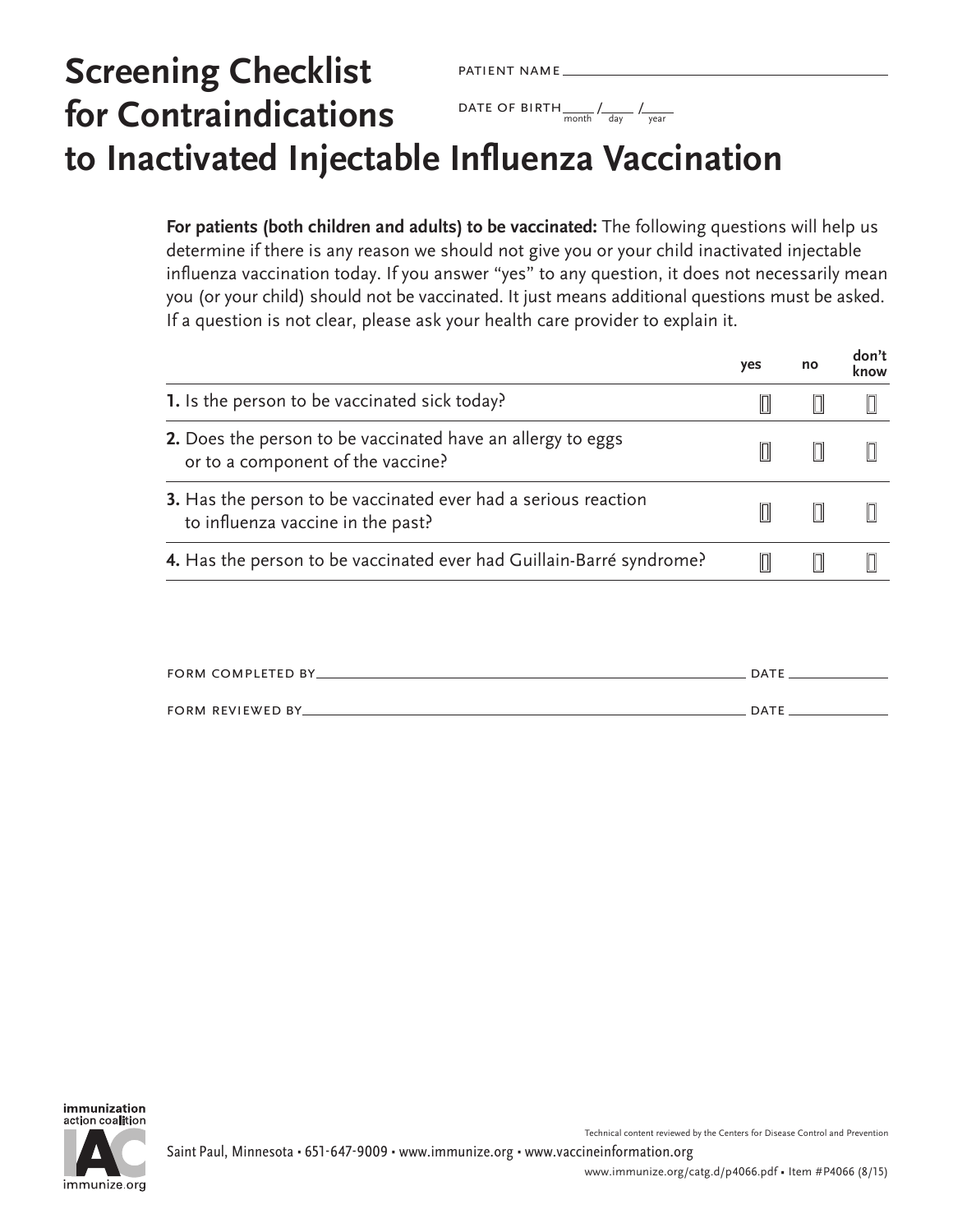## **Screening Checklist for Contraindications to Inactivated Injectable Influenza Vaccination** patient name DATE OF BIRTH  $\frac{1}{\text{month}}$  /  $\frac{1}{\text{day}}$  /  $\frac{1}{\text{year}}$

**For patients (both children and adults) to be vaccinated:** The following questions will help us determine if there is any reason we should not give you or your child inactivated injectable influenza vaccination today. If you answer "yes" to any question, it does not necessarily mean you (or your child) should not be vaccinated. It just means additional questions must be asked. If a question is not clear, please ask your health care provider to explain it.

|                                                                                                     | yes | no | don't<br>know |
|-----------------------------------------------------------------------------------------------------|-----|----|---------------|
| 1. Is the person to be vaccinated sick today?                                                       |     |    |               |
| 2. Does the person to be vaccinated have an allergy to eggs<br>or to a component of the vaccine?    |     |    |               |
| 3. Has the person to be vaccinated ever had a serious reaction<br>to influenza vaccine in the past? |     |    |               |
| 4. Has the person to be vaccinated ever had Guillain-Barré syndrome?                                |     |    |               |

| <b>FORM COMPLETED BY</b> | DATE |
|--------------------------|------|
|                          |      |
| <b>FORM REVIEWED BY_</b> | DATE |



Technical content reviewed by the Centers for Disease Control and Prevention

**don't**

www.immunize.org/catg.d/p4066.pdf • Item #P4066 (8/15)